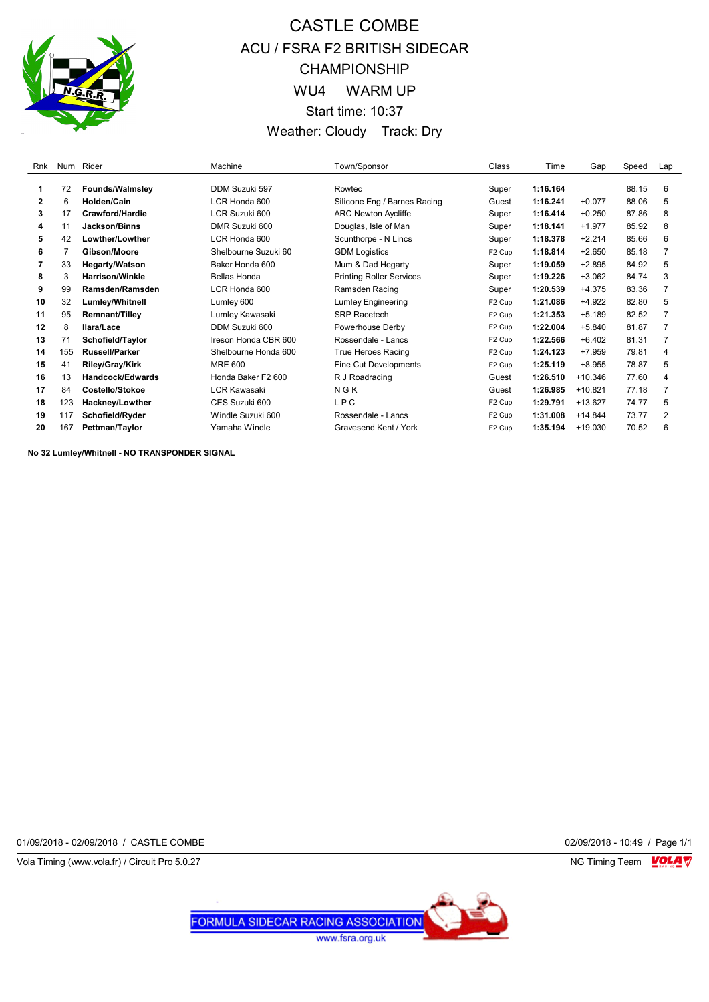

## CASTLE COMBE ACU / FSRA F2 BRITISH SIDECAR CHAMPIONSHIP WU4 WARM UP Start time: 10:37 Weather: Cloudy Track: Dry

| Rnk          |     | Num Rider              | Machine              | Town/Sponsor                    | Class              | Time     | Gap       | Speed | Lap            |
|--------------|-----|------------------------|----------------------|---------------------------------|--------------------|----------|-----------|-------|----------------|
|              |     |                        |                      |                                 |                    |          |           |       |                |
| 1            | 72  | <b>Founds/Walmsley</b> | DDM Suzuki 597       | Rowtec                          | Super              | 1:16.164 |           | 88.15 | 6              |
| $\mathbf{2}$ | 6   | Holden/Cain            | LCR Honda 600        | Silicone Eng / Barnes Racing    | Guest              | 1:16.241 | $+0.077$  | 88.06 | 5              |
| 3            | 17  | Crawford/Hardie        | LCR Suzuki 600       | <b>ARC Newton Aycliffe</b>      | Super              | 1:16.414 | $+0.250$  | 87.86 | 8              |
| 4            | 11  | Jackson/Binns          | DMR Suzuki 600       | Douglas, Isle of Man            | Super              | 1:18.141 | $+1.977$  | 85.92 | 8              |
| 5            | 42  | Lowther/Lowther        | LCR Honda 600        | Scunthorpe - N Lincs            | Super              | 1:18.378 | $+2.214$  | 85.66 | 6              |
| 6            | 7   | Gibson/Moore           | Shelbourne Suzuki 60 | <b>GDM Logistics</b>            | F <sub>2</sub> Cup | 1:18.814 | $+2.650$  | 85.18 | 7              |
|              | 33  | <b>Hegarty/Watson</b>  | Baker Honda 600      | Mum & Dad Hegarty               | Super              | 1:19.059 | $+2.895$  | 84.92 | 5              |
| 8            | 3   | <b>Harrison/Winkle</b> | Bellas Honda         | <b>Printing Roller Services</b> | Super              | 1:19.226 | $+3.062$  | 84.74 | 3              |
| 9            | 99  | Ramsden/Ramsden        | LCR Honda 600        | Ramsden Racing                  | Super              | 1:20.539 | $+4.375$  | 83.36 | 7              |
| 10           | 32  | Lumley/Whitnell        | Lumley 600           | Lumley Engineering              | F <sub>2</sub> Cup | 1:21.086 | $+4.922$  | 82.80 | 5              |
| 11           | 95  | <b>Remnant/Tilley</b>  | Lumley Kawasaki      | <b>SRP Racetech</b>             | F <sub>2</sub> Cup | 1:21.353 | $+5.189$  | 82.52 | $\overline{7}$ |
| 12           | 8   | llara/Lace             | DDM Suzuki 600       | Powerhouse Derby                | F <sub>2</sub> Cup | 1:22.004 | $+5.840$  | 81.87 | 7              |
| 13           | 71  | Schofield/Taylor       | Ireson Honda CBR 600 | Rossendale - Lancs              | F <sub>2</sub> Cup | 1:22.566 | $+6.402$  | 81.31 | 7              |
| 14           | 155 | <b>Russell/Parker</b>  | Shelbourne Honda 600 | True Heroes Racing              | F <sub>2</sub> Cup | 1:24.123 | $+7.959$  | 79.81 | $\overline{4}$ |
| 15           | 41  | Riley/Gray/Kirk        | <b>MRE 600</b>       | Fine Cut Developments           | F <sub>2</sub> Cup | 1:25.119 | $+8.955$  | 78.87 | 5              |
| 16           | 13  | Handcock/Edwards       | Honda Baker F2 600   | R J Roadracing                  | Guest              | 1:26.510 | $+10.346$ | 77.60 | 4              |
| 17           | 84  | Costello/Stokoe        | <b>LCR Kawasaki</b>  | NGK                             | Guest              | 1:26.985 | $+10.821$ | 77.18 | $\overline{7}$ |
| 18           | 123 | Hackney/Lowther        | CES Suzuki 600       | LPC                             | F <sub>2</sub> Cup | 1:29.791 | $+13.627$ | 74.77 | 5              |
| 19           | 117 | Schofield/Ryder        | Windle Suzuki 600    | Rossendale - Lancs              | F <sub>2</sub> Cup | 1:31.008 | $+14.844$ | 73.77 | $\overline{2}$ |
| 20           | 167 | Pettman/Taylor         | Yamaha Windle        | Gravesend Kent / York           | F <sub>2</sub> Cup | 1:35.194 | +19.030   | 70.52 | 6              |

**No 32 Lumley/Whitnell - NO TRANSPONDER SIGNAL**

01/09/2018 - 02/09/2018 / CASTLE COMBE 02/09/2018 - 10:49 / Page 1/1

Vola Timing (www.vola.fr) / Circuit Pro 5.0.27 NG Timing Team Museum of the Superior Studies of the Superior Studies of the Superior Studies of the Superior Studies of the Superior Studies of the Superior Studies of the Su

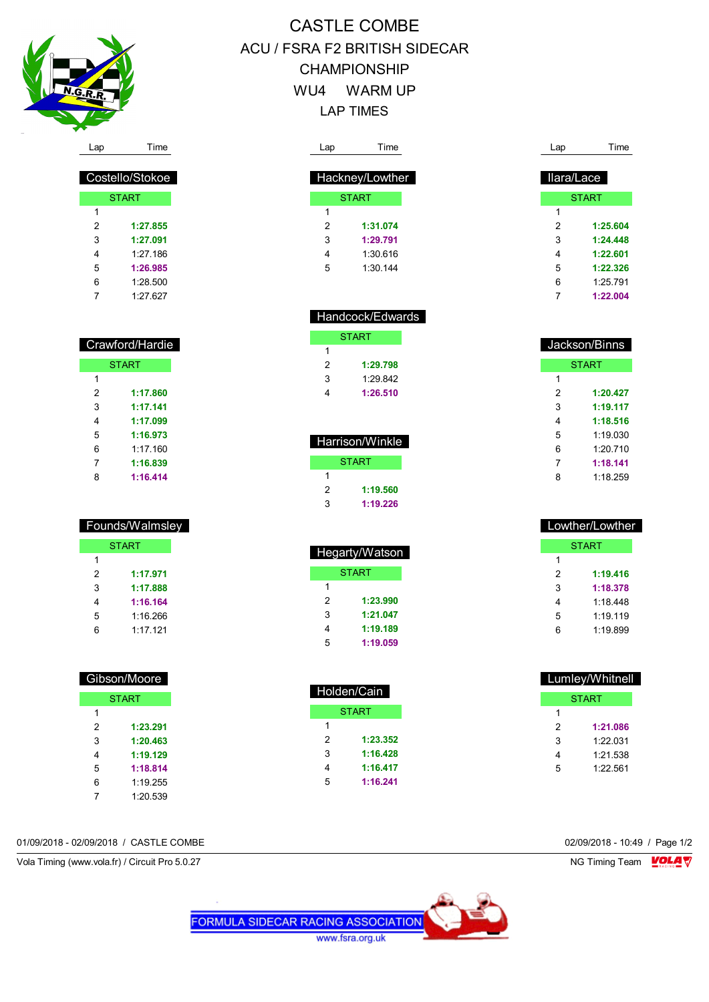

 Costello/Stokoe **START** 

 **1:27.855 1:27.091** 1:27.186 **1:26.985** 1:28.500 1:27.627

 Crawford/Hardie **START** 

> **1:17.860 1:17.141 1:17.099 1:16.973** 1:17.160 **1:16.839 1:16.414**

 Founds/Walmsley **START** 

 **1:17.971 1:17.888 1:16.164** 1:16.266 1:17.121

 Gibson/Moore START

> **1:23.291 1:20.463 1:19.129 1:18.814** 1:19.255 1:20.539

 $\overline{1}$ 

 $\overline{1}$ 

# CASTLE COMBE ACU / FSRA F2 BRITISH SIDECAR CHAMPIONSHIP WU4 WARM UP LAP TIMES

| Lap                     | Time             | Lap |                 | Time     |
|-------------------------|------------------|-----|-----------------|----------|
|                         |                  |     |                 |          |
|                         | Hackney/Lowther  |     | llara/Lace      |          |
|                         | <b>START</b>     |     | <b>START</b>    |          |
| 1                       |                  | 1   |                 |          |
| $\overline{2}$          | 1:31.074         |     | $\overline{2}$  | 1:25.604 |
| 3                       | 1:29.791         |     | 3               | 1:24.448 |
| $\overline{\mathbf{4}}$ | 1:30.616         |     | 4               | 1:22.601 |
| 5                       | 1:30.144         |     | 5               | 1:22.326 |
|                         |                  |     | 6               | 1:25.791 |
|                         |                  |     | $\overline{7}$  | 1:22.004 |
|                         | Handcock/Edwards |     |                 |          |
|                         |                  |     |                 |          |
|                         | <b>START</b>     |     | Jackson/Binns   |          |
| $\mathbf{1}$            |                  |     |                 |          |
| 2                       | 1:29.798         |     | <b>START</b>    |          |
| 3                       | 1:29.842         |     | 1               |          |
| 4                       | 1:26.510         |     | $\overline{2}$  | 1:20.427 |
|                         |                  |     | 3               | 1:19.117 |
|                         |                  |     | 4               | 1:18.516 |
|                         | Harrison/Winkle  |     | 5               | 1:19.030 |
|                         |                  |     | 6               | 1:20.710 |
|                         | <b>START</b>     |     | 7               | 1:18.141 |
| $\mathbf{1}$            |                  |     | 8               | 1:18.259 |
| 2                       | 1:19.560         |     |                 |          |
| 3                       | 1:19.226         |     |                 |          |
|                         |                  |     | Lowther/Lowther |          |
|                         |                  |     | <b>START</b>    |          |
|                         | Hegarty/Watson   | 1   |                 |          |
|                         | <b>START</b>     |     | $\overline{2}$  | 1:19.416 |
| 1                       |                  |     | 3               | 1:18.378 |

|   | Hegarty/Watson |
|---|----------------|
|   | START          |
| 1 |                |
| 2 | 1:23.990       |
| 3 | 1:21.047       |
| 4 | 1:19.189       |
| 5 | 1:19.059       |

| Holden/Cain |          |
|-------------|----------|
|             | START    |
| 1           |          |
| 2           | 1:23.352 |
| 3           | 1:16.428 |
| 4           | 1:16.417 |
| 5           | 1:16.241 |

| Lumley/Whitnell<br>п |          |  |  |
|----------------------|----------|--|--|
|                      | START    |  |  |
| 1                    |          |  |  |
| 2                    | 1:21.086 |  |  |
| 3                    | 1.22 031 |  |  |
| 4                    | 1.21.538 |  |  |
| 5                    | 1:22.561 |  |  |

 1:18.448 1:19.119 1:19.899

01/09/2018 - 02/09/2018 / CASTLE COMBE 02/09/2018 - 10:49 / Page 1/2

Vola Timing (www.vola.fr) / Circuit Pro 5.0.27 NG Timing Team NG Timing Team NG Timing Team NG Timing Team NG

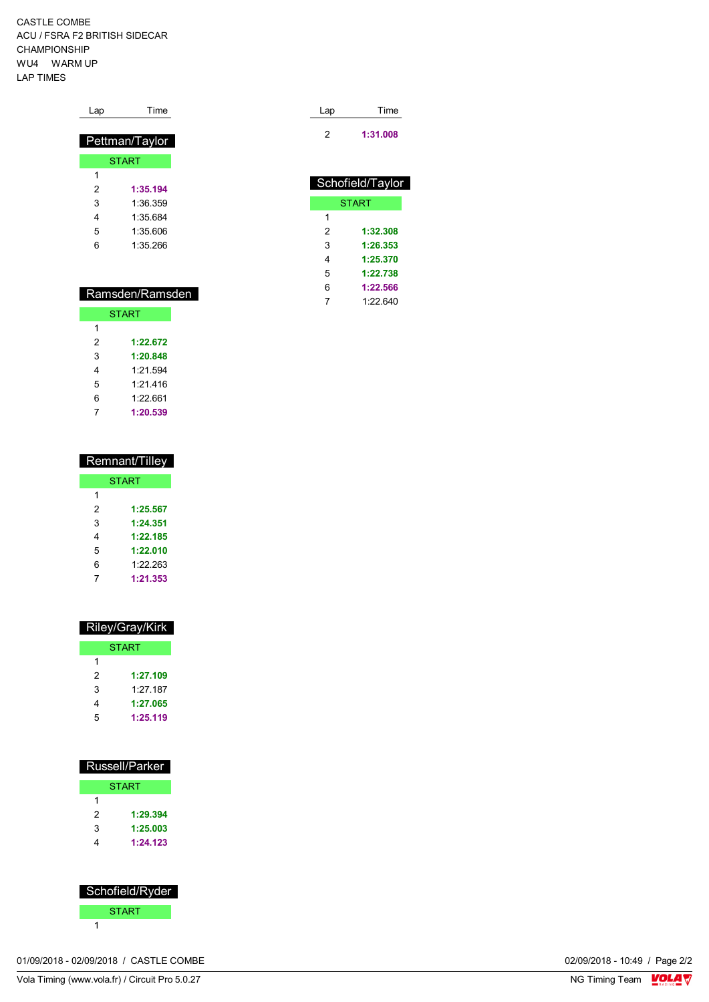CASTLE COMBE ACU / FSRA F2 BRITISH SIDECAR CHAMPIONSHIP WU4 WARM UP LAP TIMES

| Lap | Time           |
|-----|----------------|
|     | Pettman/Taylor |
|     | <b>START</b>   |
| 1   |                |
| 2   | 1:35.194       |
| 3   | 1:36 359       |
| 4   | 1:35 684       |
| 5   | 1:35606        |
| 6   | 1:35 266       |
|     |                |

| Ramsden/Ramsden |              |  |  |
|-----------------|--------------|--|--|
|                 | <b>START</b> |  |  |
| 1               |              |  |  |
| 2               | 1:22.672     |  |  |
| 3               | 1:20.848     |  |  |
| 4               | 1.21.594     |  |  |
| 5               | 1.21 416     |  |  |
| 6               | 1.22.661     |  |  |
|                 | 1:20.539     |  |  |

| Remnant/Tilley |              |  |  |
|----------------|--------------|--|--|
|                | <b>START</b> |  |  |
| 1              |              |  |  |
| 2              | 1:25.567     |  |  |
| 3              | 1:24.351     |  |  |
| 4              | 1:22.185     |  |  |
| 5              | 1:22.010     |  |  |
| 6              | 1.22.263     |  |  |
| 7              | 1:21.353     |  |  |
|                |              |  |  |

| Russell/Parker |              |  |  |
|----------------|--------------|--|--|
|                | <b>START</b> |  |  |
| 1              |              |  |  |
| 2              | 1:29.394     |  |  |
| 3              | 1:25.003     |  |  |
| 4              | 1:24.123     |  |  |
|                |              |  |  |

| Schofield/Ryder |
|-----------------|
| <b>START</b>    |
|                 |

| 01/09/2018 - 02/09/2018 / CASTLE COMBE | 02/09/2018 - 10:49 / Page 2/2 |
|----------------------------------------|-------------------------------|
|----------------------------------------|-------------------------------|

| Lap | Time     |
|-----|----------|
| 2   | 1:31.008 |

|       | Schofield/Taylor |  |  |  |  |  |  |  |  |
|-------|------------------|--|--|--|--|--|--|--|--|
| START |                  |  |  |  |  |  |  |  |  |
| 1     |                  |  |  |  |  |  |  |  |  |
| 2     | 1:32.308         |  |  |  |  |  |  |  |  |
| 3     | 1:26.353         |  |  |  |  |  |  |  |  |
| 4     | 1:25.370         |  |  |  |  |  |  |  |  |
| 5     | 1:22.738         |  |  |  |  |  |  |  |  |
| 6     | 1:22.566         |  |  |  |  |  |  |  |  |
|       | 1:22.640         |  |  |  |  |  |  |  |  |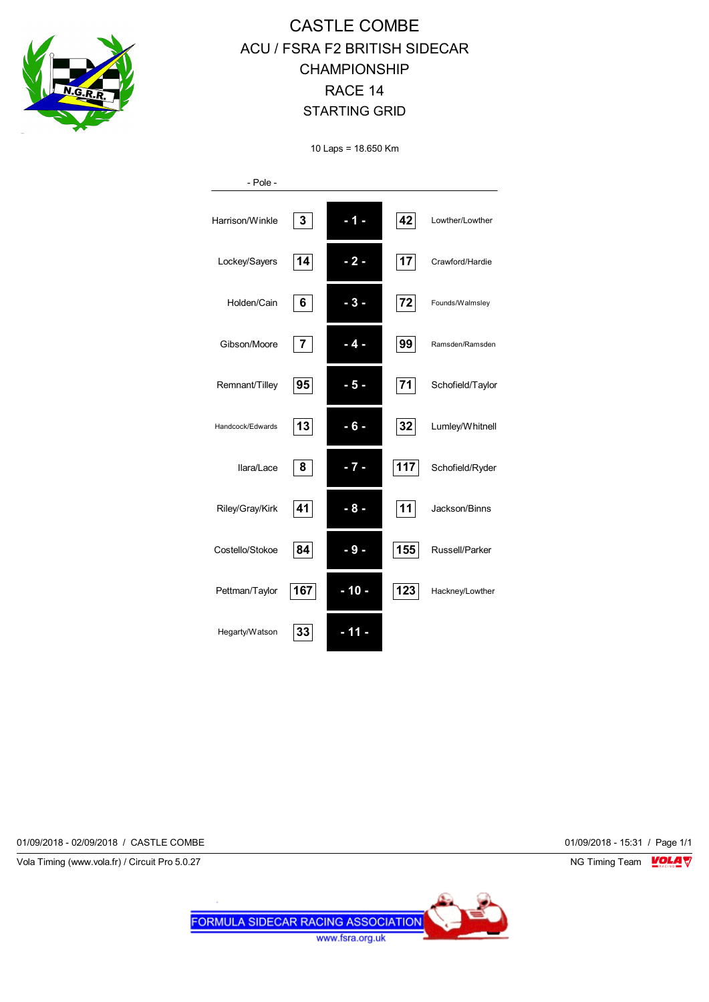

# CASTLE COMBE ACU / FSRA F2 BRITISH SIDECAR CHAMPIONSHIP RACE 14 STARTING GRID

10 Laps = 18.650 Km

| - Pole -         |     |        |     |                  |
|------------------|-----|--------|-----|------------------|
| Harrison/Winkle  | 3   | - 1 -  | 42  | Lowther/Lowther  |
| Lockey/Sayers    | 14  | - 2 -  | 17  | Crawford/Hardie  |
| Holden/Cain      | 6   | - 3 -  | 72  | Founds/Walmsley  |
| Gibson/Moore     | 7   | - 4 -  | 99  | Ramsden/Ramsden  |
| Remnant/Tilley   | 95  | - 5 -  | 71  | Schofield/Taylor |
| Handcock/Edwards | 13  | $-6-$  | 32  | Lumley/Whitnell  |
| Ilara/Lace       | 8   | -7-    | 117 | Schofield/Ryder  |
| Riley/Gray/Kirk  | 41  | $-8-$  | 11  | Jackson/Binns    |
| Costello/Stokoe  | 84  | $-9-$  | 155 | Russell/Parker   |
| Pettman/Taylor   | 167 | $-10-$ | 123 | Hackney/Lowther  |
| Hegarty/Watson   | 33  |        |     |                  |

01/09/2018 - 02/09/2018 / CASTLE COMBE 01/09/2018 - 15:31 / Page 1/1

Vola Timing (www.vola.fr) / Circuit Pro 5.0.27 NG Timing Team Museum of the Superior Studies of the Superior Studies of the Superior Studies of the Superior Studies of the Superior Studies of the Superior Studies of the Su

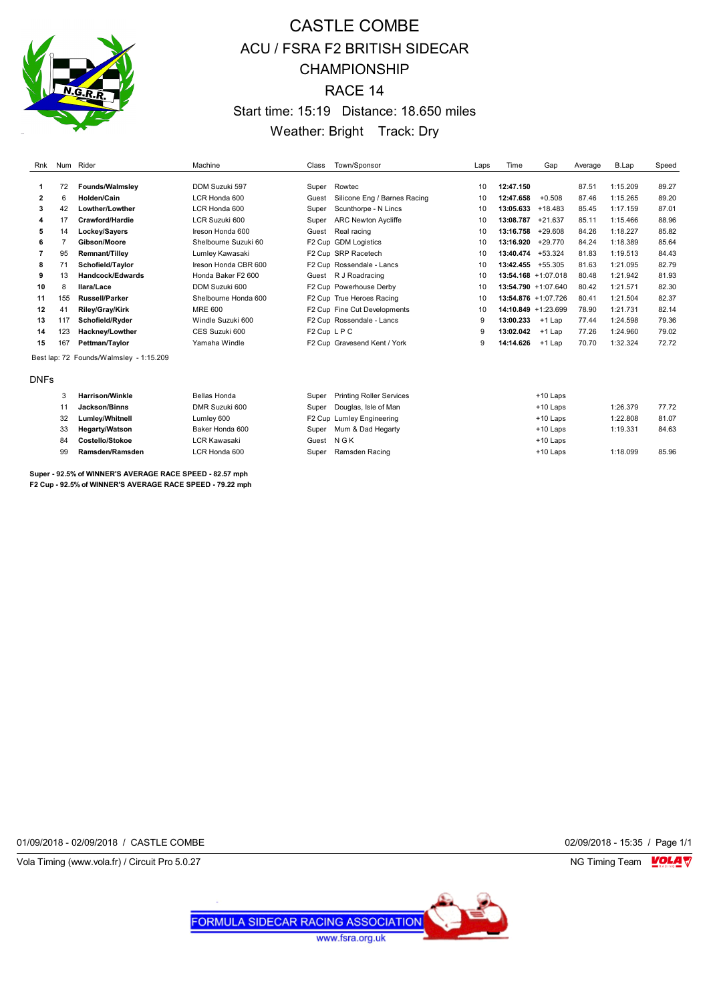

## CASTLE COMBE ACU / FSRA F2 BRITISH SIDECAR CHAMPIONSHIP RACE 14 Start time: 15:19 Distance: 18.650 miles Weather: Bright Track: Dry

| Rnk          |     | Num Rider                               | Machine              | Class      | Town/Sponsor                    | Laps | Time                   | Gap        | Average | B.Lap    | Speed |
|--------------|-----|-----------------------------------------|----------------------|------------|---------------------------------|------|------------------------|------------|---------|----------|-------|
|              |     |                                         |                      |            |                                 |      |                        |            |         |          |       |
| 1.           | 72  | Founds/Walmsley                         | DDM Suzuki 597       | Super      | Rowtec                          | 10   | 12:47.150              |            | 87.51   | 1:15.209 | 89.27 |
| $\mathbf{2}$ | 6   | Holden/Cain                             | LCR Honda 600        | Guest      | Silicone Eng / Barnes Racing    | 10   | 12:47.658              | $+0.508$   | 87.46   | 1:15.265 | 89.20 |
| 3            | 42  | Lowther/Lowther                         | LCR Honda 600        | Super      | Scunthorpe - N Lincs            | 10   | 13:05.633              | $+18.483$  | 85.45   | 1:17.159 | 87.01 |
| 4            | 17  | Crawford/Hardie                         | LCR Suzuki 600       | Super      | <b>ARC Newton Aycliffe</b>      | 10   | 13:08.787              | $+21.637$  | 85.11   | 1:15.466 | 88.96 |
| 5            | 14  | Lockey/Sayers                           | Ireson Honda 600     | Guest      | Real racing                     | 10   | 13:16.758              | $+29.608$  | 84.26   | 1:18.227 | 85.82 |
| 6            |     | Gibson/Moore                            | Shelbourne Suzuki 60 |            | F2 Cup GDM Logistics            | 10   | 13:16.920              | $+29.770$  | 84.24   | 1:18.389 | 85.64 |
| 7            | 95  | Remnant/Tilley                          | Lumley Kawasaki      |            | F2 Cup SRP Racetech             | 10   | 13:40.474              | $+53.324$  | 81.83   | 1:19.513 | 84.43 |
| 8            | 71  | Schofield/Taylor                        | Ireson Honda CBR 600 |            | F2 Cup Rossendale - Lancs       | 10   | 13:42.455              | $+55.305$  | 81.63   | 1:21.095 | 82.79 |
| 9            | 13  | <b>Handcock/Edwards</b>                 | Honda Baker F2 600   |            | Guest R J Roadracing            | 10   | $13:54.168 + 1:07.018$ |            | 80.48   | 1:21.942 | 81.93 |
| 10           | 8   | llara/Lace                              | DDM Suzuki 600       |            | F2 Cup Powerhouse Derby         | 10   | 13:54.790 +1:07.640    |            | 80.42   | 1:21.571 | 82.30 |
| 11           | 155 | <b>Russell/Parker</b>                   | Shelbourne Honda 600 |            | F2 Cup True Heroes Racing       | 10   | 13:54.876 +1:07.726    |            | 80.41   | 1:21.504 | 82.37 |
| 12           | 41  | Riley/Gray/Kirk                         | <b>MRE 600</b>       |            | F2 Cup Fine Cut Developments    | 10   | 14:10.849 +1:23.699    |            | 78.90   | 1:21.731 | 82.14 |
| 13           | 117 | Schofield/Ryder                         | Windle Suzuki 600    |            | F2 Cup Rossendale - Lancs       | 9    | 13:00.233              | $+1$ Lap   | 77.44   | 1:24.598 | 79.36 |
| 14           | 123 | Hackney/Lowther                         | CES Suzuki 600       | F2 Cup LPC |                                 | 9    | 13:02.042              | $+1$ Lap   | 77.26   | 1:24.960 | 79.02 |
| 15           | 167 | Pettman/Taylor                          | Yamaha Windle        |            | F2 Cup Gravesend Kent / York    | 9    | 14:14.626              | $+1$ Lap   | 70.70   | 1:32.324 | 72.72 |
|              |     | Best lap: 72 Founds/Walmsley - 1:15.209 |                      |            |                                 |      |                        |            |         |          |       |
| <b>DNFs</b>  |     |                                         |                      |            |                                 |      |                        |            |         |          |       |
|              | 3   | <b>Harrison/Winkle</b>                  | Bellas Honda         | Super      | <b>Printing Roller Services</b> |      |                        | $+10$ Laps |         |          |       |
|              | 11  | <b>Jackson/Binns</b>                    | DMR Suzuki 600       | Super      | Douglas, Isle of Man            |      |                        | $+10$ Laps |         | 1:26.379 | 77.72 |
|              | 32  | Lumley/Whitnell                         | Lumley 600           |            | F2 Cup Lumley Engineering       |      |                        | $+10$ Laps |         | 1:22.808 | 81.07 |
|              | 33  | <b>Hegarty/Watson</b>                   | Baker Honda 600      | Super      | Mum & Dad Hegarty               |      |                        | $+10$ Laps |         | 1:19.331 | 84.63 |
|              | 84  | Costello/Stokoe                         | <b>LCR Kawasaki</b>  | Guest      | <b>NGK</b>                      |      |                        | $+10$ Laps |         |          |       |
|              | 99  | Ramsden/Ramsden                         | LCR Honda 600        | Super      | Ramsden Racing                  |      |                        | $+10$ Laps |         | 1:18.099 | 85.96 |

**Super - 92.5% of WINNER'S AVERAGE RACE SPEED - 82.57 mph F2 Cup - 92.5% of WINNER'S AVERAGE RACE SPEED - 79.22 mph**

01/09/2018 - 02/09/2018 / CASTLE COMBE 02/09/2018 - 15:35 / Page 1/1

Vola Timing (www.vola.fr) / Circuit Pro 5.0.27 NG Timing Team Museum of the Superior Section 1997 NG Timing Team Museum of the Superior Section 1997 NG Timing Team Museum of the Superior Section 1997 NG Timing Team Museum

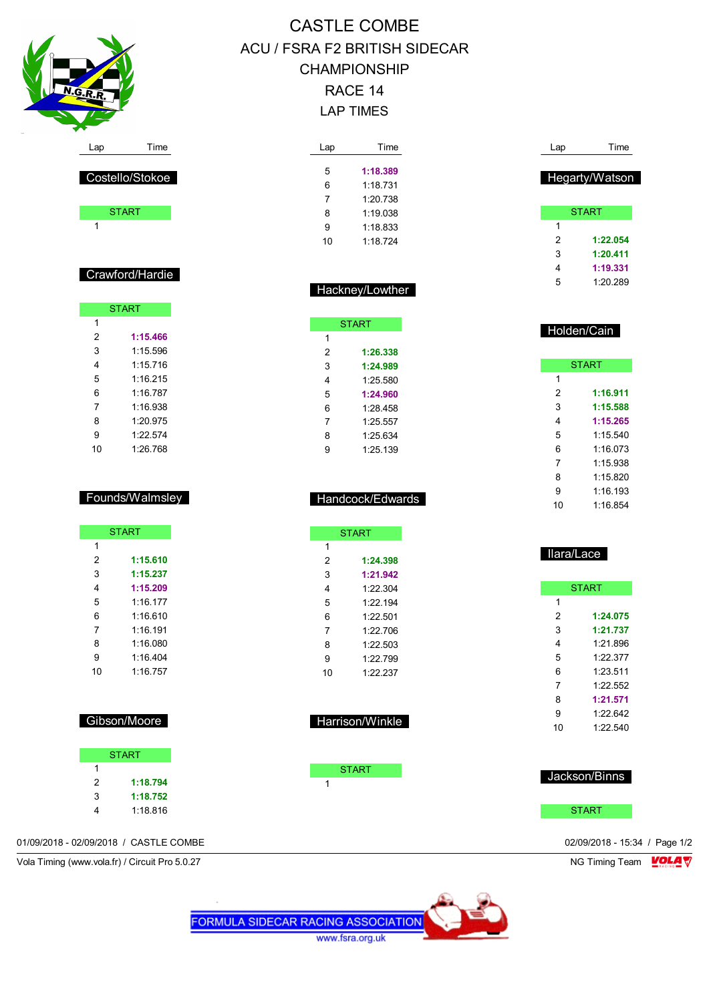| N.G.R.R.                |                                                |                  | ACU / FSRA F2 BRITISH SIDECAR<br><b>CHAMPIONSHIP</b><br>RACE 14<br><b>LAP TIMES</b> |                |                               |  |
|-------------------------|------------------------------------------------|------------------|-------------------------------------------------------------------------------------|----------------|-------------------------------|--|
| Lap                     | Time                                           | Lap              | Time                                                                                | Lap            | Time                          |  |
|                         |                                                | 5                | 1:18.389                                                                            |                |                               |  |
|                         | Costello/Stokoe                                | 6                | 1:18.731                                                                            |                | Hegarty/Watson                |  |
|                         |                                                | $\overline{7}$   | 1:20.738                                                                            |                |                               |  |
|                         | <b>START</b>                                   | 8                | 1:19.038                                                                            |                | <b>START</b>                  |  |
| $\mathbf{1}$            |                                                | 9                | 1:18.833                                                                            | 1              |                               |  |
|                         |                                                | 10               | 1:18.724                                                                            | 2              | 1:22.054                      |  |
|                         |                                                |                  |                                                                                     | 3              | 1:20.411                      |  |
|                         | Crawford/Hardie                                |                  |                                                                                     | 4              | 1:19.331                      |  |
|                         |                                                |                  | Hackney/Lowther                                                                     | 5              | 1:20.289                      |  |
|                         | <b>START</b>                                   |                  |                                                                                     |                |                               |  |
| $\mathbf{1}$            |                                                |                  | <b>START</b>                                                                        |                |                               |  |
| $\overline{c}$          | 1:15.466                                       | $\mathbf{1}$     |                                                                                     | Holden/Cain    |                               |  |
| 3                       | 1:15.596                                       | 2                | 1:26.338                                                                            |                |                               |  |
| 4                       | 1:15.716                                       | 3                | 1:24.989                                                                            |                | <b>START</b>                  |  |
| 5                       | 1:16.215                                       | 4                | 1:25.580                                                                            | 1              |                               |  |
| 6                       | 1:16.787                                       | 5                | 1:24.960                                                                            | 2              | 1:16.911                      |  |
| 7                       | 1:16.938                                       | 6                | 1:28.458                                                                            | 3              | 1:15.588                      |  |
| 8                       | 1:20.975                                       | $\overline{7}$   | 1:25.557                                                                            | 4              | 1:15.265                      |  |
| 9                       | 1:22.574                                       | 8                | 1:25.634                                                                            | 5              | 1:15.540                      |  |
| 10                      | 1:26.768                                       | 9                | 1:25.139                                                                            | 6              | 1:16.073                      |  |
|                         |                                                |                  |                                                                                     | $\overline{7}$ | 1:15.938                      |  |
|                         |                                                |                  |                                                                                     | 8              | 1:15.820                      |  |
|                         | Founds/Walmsley                                |                  | Handcock/Edwards                                                                    | 9              | 1:16.193                      |  |
|                         |                                                |                  |                                                                                     | 10             | 1:16.854                      |  |
|                         | <b>START</b>                                   |                  | <b>START</b>                                                                        |                |                               |  |
| 1                       |                                                | 1                |                                                                                     |                |                               |  |
| $\overline{c}$          | 1:15.610                                       | 2                | 1:24.398                                                                            | llara/Lace     |                               |  |
| 3                       | 1:15.237                                       | 3                | 1:21.942                                                                            |                |                               |  |
| 4                       | 1:15.209                                       | 4                | 1:22.304                                                                            |                | <b>START</b>                  |  |
| 5                       | 1:16.177                                       | 5                | 1:22.194                                                                            | 1              |                               |  |
| 6                       | 1:16.610                                       | 6                | 1:22.501                                                                            | $\mathbf 2$    | 1:24.075                      |  |
| $\overline{7}$          | 1:16.191                                       | $\boldsymbol{7}$ | 1:22.706                                                                            | 3              | 1:21.737                      |  |
| 8                       | 1:16.080                                       | 8                | 1:22.503                                                                            | 4              | 1:21.896                      |  |
| 9                       | 1:16.404                                       | $\boldsymbol{9}$ | 1:22.799                                                                            | 5              | 1:22.377                      |  |
| 10                      | 1:16.757                                       | 10               | 1:22.237                                                                            | 6<br>7         | 1:23.511<br>1:22.552          |  |
|                         |                                                |                  |                                                                                     | 8              | 1:21.571                      |  |
|                         |                                                |                  |                                                                                     | 9              | 1:22.642                      |  |
|                         | Gibson/Moore                                   |                  | Harrison/Winkle                                                                     | 10             | 1:22.540                      |  |
|                         |                                                |                  |                                                                                     |                |                               |  |
|                         | <b>START</b>                                   |                  |                                                                                     |                |                               |  |
| $\mathbf{1}$            |                                                |                  | <b>START</b>                                                                        |                |                               |  |
| $\overline{\mathbf{c}}$ | 1:18.794                                       | $\mathbf{1}$     |                                                                                     |                | Jackson/Binns                 |  |
| 3                       | 1:18.752                                       |                  |                                                                                     |                |                               |  |
| 4                       | 1:18.816                                       |                  |                                                                                     |                | <b>START</b>                  |  |
|                         |                                                |                  |                                                                                     |                |                               |  |
|                         | 01/09/2018 - 02/09/2018 / CASTLE COMBE         |                  |                                                                                     |                | 02/09/2018 - 15:34 / Page 1/2 |  |
|                         | Vola Timing (www.vola.fr) / Circuit Pro 5.0.27 |                  |                                                                                     |                | NG Timing Team <b>LOLA</b>    |  |

CASTLE COMBE

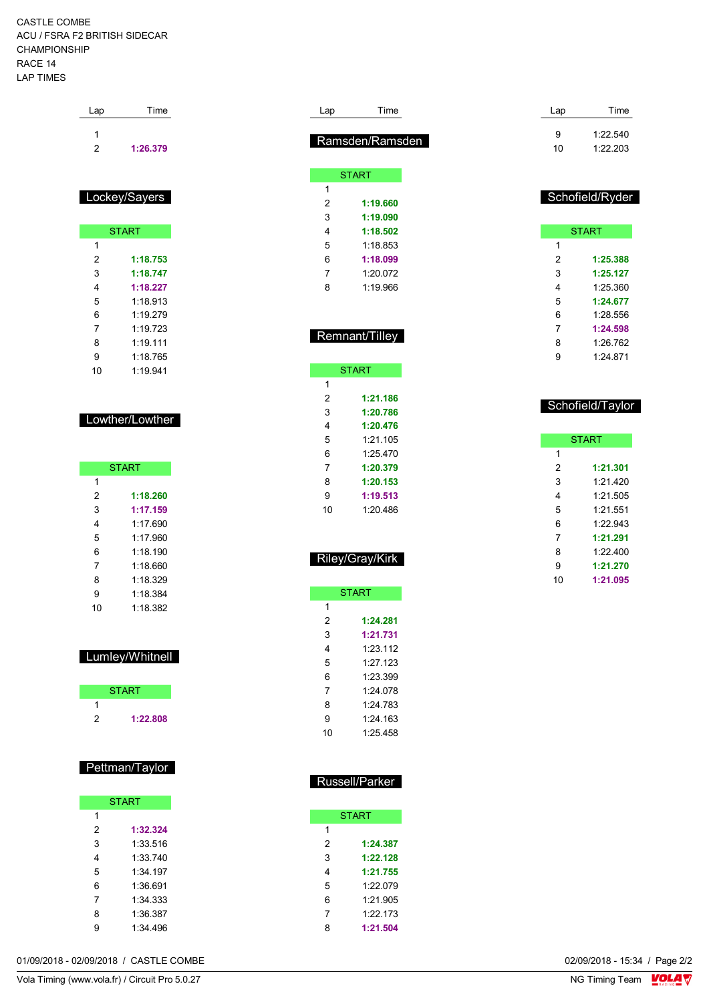CASTLE COMBE ACU / FSRA F2 BRITISH SIDECAR CHAMPIONSHIP RACE 14 LAP TIMES

| Lap | Time     |
|-----|----------|
|     |          |
| 2   | 1:26.379 |

### Lockey/Sayers

|    | <b>START</b> |
|----|--------------|
| 1  |              |
| 2  | 1:18.753     |
| 3  | 1:18.747     |
| 4  | 1:18.227     |
| 5  | 1:18.913     |
| 6  | 1.19 279     |
| 7  | 1.19 723     |
| 8  | 1.19.111     |
| 9  | 1:18 765     |
| 10 | 1.19.941     |

#### Lowther/Lowther

|    | <b>START</b> |
|----|--------------|
| 1  |              |
| 2  | 1:18.260     |
| 3  | 1:17.159     |
| 4  | 1.17 690     |
| 5  | 1.17.960     |
| 6  | 1 18 190     |
| 7  | 1.18660      |
| 8  | 1:18.329     |
| 9  | 1.18.384     |
| 10 | 1:18.382     |

#### Lumley/Whitnell

|   | <b>START</b> |
|---|--------------|
|   |              |
| 2 | 1:22.808     |

### Pettman/Taylor

|   | <b>START</b> |
|---|--------------|
| 1 |              |
| 2 | 1:32.324     |
| 3 | 1:33.516     |
| 4 | 1:33.740     |
| 5 | 1:34.197     |
| 6 | 1:36.691     |
| 7 | 1:34.333     |
| 8 | 1:36.387     |
| 9 | 1:34.496     |

| Lap            | Time                 | Lap            | Time                 |
|----------------|----------------------|----------------|----------------------|
|                | Ramsden/Ramsden      | 9<br>10        | 1:22.540<br>1:22.203 |
|                | <b>START</b>         |                |                      |
| $\mathbf{1}$   |                      |                | Schofield/Ryder      |
| $\overline{2}$ | 1:19.660             |                |                      |
| 3              | 1:19.090             |                |                      |
| 4              | 1:18.502             |                | <b>START</b>         |
| 5              | 1:18.853             | 1              |                      |
| 6              | 1:18.099             | $\overline{2}$ | 1:25.388             |
| 7              | 1:20.072             | 3              | 1:25.127             |
| 8              | 1:19.966             | 4              | 1:25.360             |
|                |                      | 5              | 1:24.677             |
|                |                      | 6<br>7         | 1:28.556<br>1:24.598 |
|                | Remnant/Tilley       | 8              | 1:26.762             |
|                |                      | 9              | 1:24.871             |
|                | <b>START</b>         |                |                      |
| 1              |                      |                |                      |
| $\overline{2}$ | 1:21.186             |                |                      |
| 3              | 1:20.786             |                | Schofield/Taylor     |
| 4              | 1:20.476             |                |                      |
| 5              | 1:21.105             |                | <b>START</b>         |
| 6              | 1:25.470             | 1              |                      |
| 7              | 1:20.379             | 2              | 1:21.301             |
| 8              | 1:20.153             | 3              | 1:21.420             |
| 9              | 1:19.513             | 4              | 1:21.505             |
| 10             | 1:20.486             | 5              | 1:21.551             |
|                |                      | 6              | 1:22.943             |
|                |                      | 7              | 1:21.291             |
|                | Riley/Gray/Kirk      | 8              | 1:22.400             |
|                |                      | 9              | 1:21.270             |
|                |                      | 10             | 1:21.095             |
|                | <b>START</b>         |                |                      |
| 1              |                      |                |                      |
| $\overline{2}$ | 1:24.281             |                |                      |
| 3<br>4         | 1:21.731<br>1:23.112 |                |                      |
| 5              | 1:27.123             |                |                      |
| 6              | 1:23.399             |                |                      |
| 7              | 1:24.078             |                |                      |
| 8              | 1:24.783             |                |                      |
| 9              | 1:24.163             |                |                      |
| 10             | 1:25.458             |                |                      |
|                |                      |                |                      |
|                | Russell/Parker       |                |                      |
|                | <b>START</b>         |                |                      |

 **1:24.387 1:22.128 1:21.755** 1:22.079 1:21.905 1:22.173 **1:21.504**

01/09/2018 - 02/09/2018 / CASTLE COMBE

Vola Timing (www.vola.fr) / Circuit Pro 5.0.27